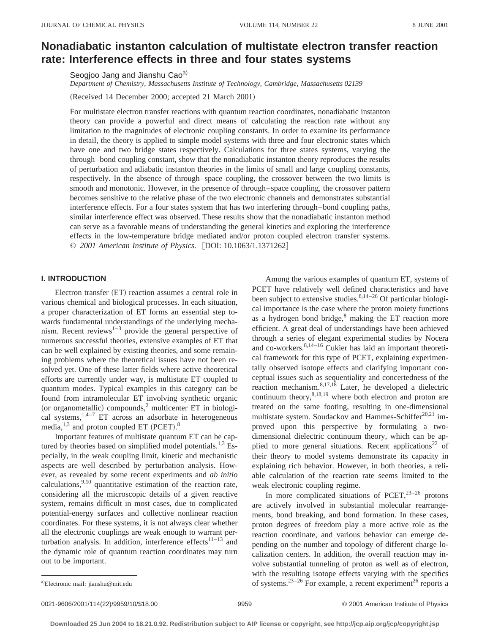# **Nonadiabatic instanton calculation of multistate electron transfer reaction rate: Interference effects in three and four states systems**

Seogjoo Jang and Jianshu Cao<sup>a)</sup>

*Department of Chemistry, Massachusetts Institute of Technology, Cambridge, Massachusetts 02139*

(Received 14 December 2000; accepted 21 March 2001)

For multistate electron transfer reactions with quantum reaction coordinates, nonadiabatic instanton theory can provide a powerful and direct means of calculating the reaction rate without any limitation to the magnitudes of electronic coupling constants. In order to examine its performance in detail, the theory is applied to simple model systems with three and four electronic states which have one and two bridge states respectively. Calculations for three states systems, varying the through–bond coupling constant, show that the nonadiabatic instanton theory reproduces the results of perturbation and adiabatic instanton theories in the limits of small and large coupling constants, respectively. In the absence of through–space coupling, the crossover between the two limits is smooth and monotonic. However, in the presence of through–space coupling, the crossover pattern becomes sensitive to the relative phase of the two electronic channels and demonstrates substantial interference effects. For a four states system that has two interfering through–bond coupling paths, similar interference effect was observed. These results show that the nonadiabatic instanton method can serve as a favorable means of understanding the general kinetics and exploring the interference effects in the low-temperature bridge mediated and/or proton coupled electron transfer systems. © 2001 American Institute of Physics. [DOI: 10.1063/1.1371262]

## **I. INTRODUCTION**

Electron transfer (ET) reaction assumes a central role in various chemical and biological processes. In each situation, a proper characterization of ET forms an essential step towards fundamental understandings of the underlying mechanism. Recent reviews<sup>1-3</sup> provide the general perspective of numerous successful theories, extensive examples of ET that can be well explained by existing theories, and some remaining problems where the theoretical issues have not been resolved yet. One of these latter fields where active theoretical efforts are currently under way, is multistate ET coupled to quantum modes. Typical examples in this category can be found from intramolecular ET involving synthetic organic (or organometallic) compounds,<sup>2</sup> multicenter ET in biological systems, $1,4-7$  ET across an adsorbate in heterogeneous media, $^{1,3}$  and proton coupled ET (PCET). $^{8}$ 

Important features of multistate quantum ET can be captured by theories based on simplified model potentials.<sup>1,3</sup> Especially, in the weak coupling limit, kinetic and mechanistic aspects are well described by perturbation analysis. However, as revealed by some recent experiments and *ab initio* calculations,  $9,10$  quantitative estimation of the reaction rate, considering all the microscopic details of a given reactive system, remains difficult in most cases, due to complicated potential-energy surfaces and collective nonlinear reaction coordinates. For these systems, it is not always clear whether all the electronic couplings are weak enough to warrant perturbation analysis. In addition, interference effects $11-13$  and the dynamic role of quantum reaction coordinates may turn out to be important.

Among the various examples of quantum ET, systems of PCET have relatively well defined characteristics and have been subject to extensive studies.  $8,14-26$  Of particular biological importance is the case where the proton moiety functions as a hydrogen bond bridge, $8$  making the ET reaction more efficient. A great deal of understandings have been achieved through a series of elegant experimental studies by Nocera and co-workers.8,14–16 Cukier has laid an important theoretical framework for this type of PCET, explaining experimentally observed isotope effects and clarifying important conceptual issues such as sequentiality and concertedness of the reaction mechanism.8,17,18 Later, he developed a dielectric continuum theory, $8,18,19$  where both electron and proton are treated on the same footing, resulting in one-dimensional multistate system. Soudackov and Hammes-Schiffer<sup>20,21</sup> improved upon this perspective by formulating a twodimensional dielectric continuum theory, which can be applied to more general situations. Recent applications<sup>22</sup> of their theory to model systems demonstrate its capacity in explaining rich behavior. However, in both theories, a reliable calculation of the reaction rate seems limited to the weak electronic coupling regime.

In more complicated situations of PCET,  $2^{3-26}$  protons are actively involved in substantial molecular rearrangements, bond breaking, and bond formation. In these cases, proton degrees of freedom play a more active role as the reaction coordinate, and various behavior can emerge depending on the number and topology of different charge localization centers. In addition, the overall reaction may involve substantial tunneling of proton as well as of electron, with the resulting isotope effects varying with the specifics of systems.<sup>23–26</sup> For example, a recent experiment<sup>26</sup> reports a

0021-9606/2001/114(22)/9959/10/\$18.00 9959 9959 9959 © 2001 American Institute of Physics

Electronic mail: jianshu@mit.edu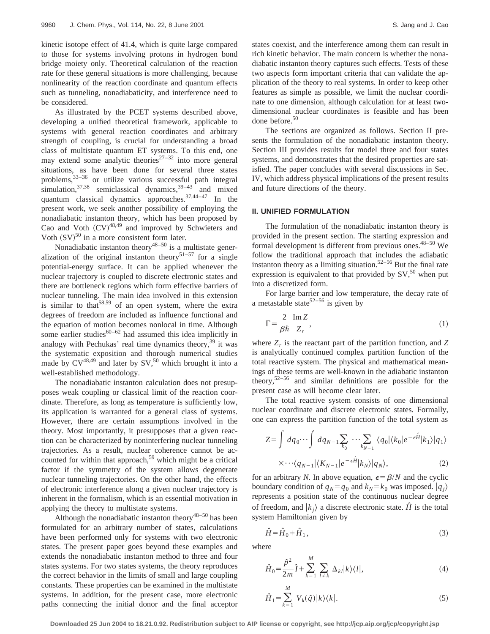kinetic isotope effect of 41.4, which is quite large compared to those for systems involving protons in hydrogen bond bridge moiety only. Theoretical calculation of the reaction rate for these general situations is more challenging, because nonlinearity of the reaction coordinate and quantum effects such as tunneling, nonadiabaticity, and interference need to be considered.

As illustrated by the PCET systems described above, developing a unified theoretical framework, applicable to systems with general reaction coordinates and arbitrary strength of coupling, is crucial for understanding a broad class of multistate quantum ET systems. To this end, one may extend some analytic theories<sup> $27-32$ </sup> into more general situations, as have been done for several three states problems,33–36 or utilize various successful path integral simulation,  $37,38$  semiclassical dynamics,  $39-43$  and mixed quantum classical dynamics approaches. $37,44-47$  In the present work, we seek another possibility of employing the nonadiabatic instanton theory, which has been proposed by Cao and Voth  $(CV)^{48,49}$  and improved by Schwieters and Voth  $(SV)^{50}$  in a more consistent form later.

Nonadiabatic instanton theory $48-50$  is a multistate generalization of the original instanton theory<sup>51–57</sup> for a single potential-energy surface. It can be applied whenever the nuclear trajectory is coupled to discrete electronic states and there are bottleneck regions which form effective barriers of nuclear tunneling. The main idea involved in this extension is similar to that<sup>58,59</sup> of an open system, where the extra degrees of freedom are included as influence functional and the equation of motion becomes nonlocal in time. Although some earlier studies $60-62$  had assumed this idea implicitly in analogy with Pechukas' real time dynamics theory,<sup>39</sup> it was the systematic exposition and thorough numerical studies made by  $CV^{48,49}$  and later by  $SV$ ,<sup>50</sup> which brought it into a well-established methodology.

The nonadiabatic instanton calculation does not presupposes weak coupling or classical limit of the reaction coordinate. Therefore, as long as temperature is sufficiently low, its application is warranted for a general class of systems. However, there are certain assumptions involved in the theory. Most importantly, it presupposes that a given reaction can be characterized by noninterfering nuclear tunneling trajectories. As a result, nuclear coherence cannot be accounted for within that approach,<sup>59</sup> which might be a critical factor if the symmetry of the system allows degenerate nuclear tunneling trajectories. On the other hand, the effects of electronic interference along a given nuclear trajectory is inherent in the formalism, which is an essential motivation in applying the theory to multistate systems.

Although the nonadiabatic instanton theory $48-50$  has been formulated for an arbitrary number of states, calculations have been performed only for systems with two electronic states. The present paper goes beyond these examples and extends the nonadiabatic instanton method to three and four states systems. For two states systems, the theory reproduces the correct behavior in the limits of small and large coupling constants. These properties can be examined in the multistate systems. In addition, for the present case, more electronic paths connecting the initial donor and the final acceptor states coexist, and the interference among them can result in rich kinetic behavior. The main concern is whether the nonadiabatic instanton theory captures such effects. Tests of these two aspects form important criteria that can validate the application of the theory to real systems. In order to keep other features as simple as possible, we limit the nuclear coordinate to one dimension, although calculation for at least twodimensional nuclear coordinates is feasible and has been done before.<sup>50</sup>

The sections are organized as follows. Section II presents the formulation of the nonadiabatic instanton theory. Section III provides results for model three and four states systems, and demonstrates that the desired properties are satisfied. The paper concludes with several discussions in Sec. IV, which address physical implications of the present results and future directions of the theory.

# **II. UNIFIED FORMULATION**

The formulation of the nonadiabatic instanton theory is provided in the present section. The starting expression and formal development is different from previous ones.  $48-50$  We follow the traditional approach that includes the adiabatic instanton theory as a limiting situation.<sup>52–56</sup> But the final rate expression is equivalent to that provided by  $SV<sub>0</sub><sup>50</sup>$  when put into a discretized form.

For large barrier and low temperature, the decay rate of a metastable state<sup>52–56</sup> is given by

$$
\Gamma = \frac{2}{\beta \hbar} \frac{\text{Im} \, Z}{Z_r},\tag{1}
$$

where  $Z_r$  is the reactant part of the partition function, and  $Z$ is analytically continued complex partition function of the total reactive system. The physical and mathematical meanings of these terms are well-known in the adiabatic instanton theory, $52-56$  and similar definitions are possible for the present case as will become clear later.

The total reactive system consists of one dimensional nuclear coordinate and discrete electronic states. Formally, one can express the partition function of the total system as

$$
Z = \int dq_0 \cdots \int dq_{N-1} \sum_{k_0} \cdots \sum_{k_{N-1}} \langle q_0 | \langle k_0 | e^{-\epsilon \hat{H}} | k_1 \rangle | q_1 \rangle
$$
  
 
$$
\times \cdots \langle q_{N-1} | \langle K_{N-1} | e^{-\epsilon \hat{H}} | k_N \rangle | q_N \rangle, \tag{2}
$$

for an arbitrary *N*. In above equation,  $\epsilon = \beta/N$  and the cyclic boundary condition of  $q_N = q_0$  and  $k_N = k_0$  was imposed.  $|q_i\rangle$ represents a position state of the continuous nuclear degree of freedom, and  $|k_i\rangle$  a discrete electronic state.  $\hat{H}$  is the total system Hamiltonian given by

$$
\hat{H} = \hat{H}_0 + \hat{H}_1,\tag{3}
$$

where

$$
\hat{H}_0 = \frac{\hat{p}^2}{2m}\hat{l} + \sum_{k=1}^M \sum_{l \neq k} \Delta_{kl} |k\rangle\langle l|,\tag{4}
$$

$$
\hat{H}_1 = \sum_{k=1}^{M} V_k(\hat{q}) |k\rangle\langle k|.
$$
\n(5)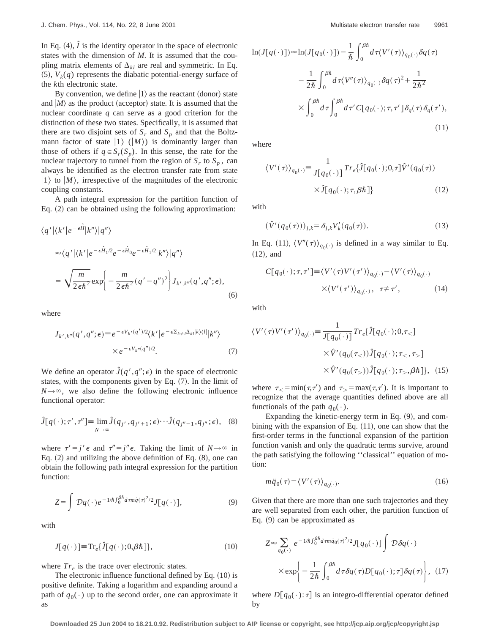In Eq. (4),  $\hat{I}$  is the identity operator in the space of electronic states with the dimension of *M*. It is assumed that the coupling matrix elements of  $\Delta_{kl}$  are real and symmetric. In Eq.  $(5)$ ,  $V_k(q)$  represents the diabatic potential-energy surface of the *k*th electronic state.

By convention, we define  $|1\rangle$  as the reactant (donor) state and  $|M\rangle$  as the product (acceptor) state. It is assumed that the nuclear coordinate *q* can serve as a good criterion for the distinction of these two states. Specifically, it is assumed that there are two disjoint sets of  $S_r$  and  $S_p$  and that the Boltzmann factor of state  $|1\rangle$  ( $|M\rangle$ ) is dominantly larger than those of others if  $q \in S_r(S_p)$ . In this sense, the rate for the nuclear trajectory to tunnel from the region of  $S_r$  to  $S_p$ , can always be identified as the electron transfer rate from state  $|1\rangle$  to  $|M\rangle$ , irrespective of the magnitudes of the electronic coupling constants.

A path integral expression for the partition function of Eq.  $(2)$  can be obtained using the following approximation:

$$
\langle q' | \langle k' | e^{-\epsilon \hat{H}} | k'' \rangle | q'' \rangle
$$
  
\n
$$
\approx \langle q' | \langle k' | e^{-\epsilon \hat{H}_1/2} e^{-\epsilon \hat{H}_0} e^{-\epsilon \hat{H}_1/2} | k'' \rangle | q'' \rangle
$$
  
\n
$$
= \sqrt{\frac{m}{2\epsilon \hbar^2}} \exp \left\{-\frac{m}{2\epsilon \hbar^2} (q' - q'')^2\right\} J_{k',k''}(q',q'';\epsilon),
$$
\n(6)

where

$$
J_{k',k''}(q',q'';\epsilon) \equiv e^{-\epsilon V_{k'}(q')/2} \langle k'|e^{-\epsilon \Sigma_{k\neq l} \Delta_{kl}|k\rangle \langle l|} |k''\rangle
$$
  
×  $e^{-\epsilon V_{k''}(q'')/2}$ . (7)

We define an operator  $\hat{J}(q', q''; \epsilon)$  in the space of electronic states, with the components given by Eq.  $(7)$ . In the limit of  $N \rightarrow \infty$ , we also define the following electronic influence functional operator:

$$
\hat{J}[q(\cdot);\tau',\tau''] \equiv \lim_{N \to \infty} \hat{J}(q_{j'},q_{j'+1};\epsilon) \cdots \hat{J}(q_{j''-1},q_{j''};\epsilon), \quad (8)
$$

where  $\tau' = j' \epsilon$  and  $\tau'' = j'' \epsilon$ . Taking the limit of  $N \rightarrow \infty$  in Eq.  $(2)$  and utilizing the above definition of Eq.  $(8)$ , one can obtain the following path integral expression for the partition function:

$$
Z = \int \mathcal{D}q(\cdot)e^{-1/\hbar\int_0^{\beta\hbar}d\tau m\dot{q}(\tau)^2/2}J[q(\cdot)],\tag{9}
$$

with

$$
J[q(\cdot)] \equiv \mathrm{Tr}_{e} \{ \hat{J}[q(\cdot);0,\beta\hbar] \},\tag{10}
$$

where  $Tr_e$  is the trace over electronic states.

The electronic influence functional defined by Eq.  $(10)$  is positive definite. Taking a logarithm and expanding around a path of  $q_0(\cdot)$  up to the second order, one can approximate it as

$$
\ln(J[q(\cdot)]) \approx \ln(J[q_0(\cdot)]) - \frac{1}{\hbar} \int_0^{\beta \hbar} d\tau \langle V'(\tau) \rangle_{q_0(\cdot)} \delta q(\tau)
$$

$$
- \frac{1}{2\hbar} \int_0^{\beta \hbar} d\tau \langle V''(\tau) \rangle_{q_0(\cdot)} \delta q(\tau)^2 + \frac{1}{2\hbar^2}
$$

$$
\times \int_0^{\beta \hbar} d\tau \int_0^{\beta \hbar} d\tau' C[q_0(\cdot); \tau, \tau'] \delta_q(\tau) \delta_q(\tau'), \tag{11}
$$

where

$$
\langle V'(\tau) \rangle_{q_0(\cdot)} \equiv \frac{1}{J[q_0(\cdot)]} Tr_e \{\hat{J}[q_0(\cdot);0,\tau] \hat{V}'(q_0(\tau))
$$

$$
\times \hat{J}[q_0(\cdot); \tau, \beta \hbar] \}
$$
(12)

with

$$
(\hat{V}'(q_0(\tau)))_{j,k} = \delta_{j,k} V'_k(q_0(\tau)).
$$
\n(13)

In Eq. (11),  $\langle V''(\tau) \rangle_{q_0(\cdot)}$  is defined in a way similar to Eq.  $(12)$ , and

$$
C[q_0(\cdot); \tau, \tau'] \equiv \langle V'(\tau) V'(\tau') \rangle_{q_0(\cdot)} - \langle V'(\tau) \rangle_{q_0(\cdot)}
$$

$$
\times \langle V'(\tau') \rangle_{q_0(\cdot)}, \ \tau \neq \tau', \tag{14}
$$

with

$$
\langle V'(\tau)V'(\tau')\rangle_{q_0(\cdot)} \equiv \frac{1}{J[q_0(\cdot)]} Tr_e\{\hat{J}[q_0(\cdot);0,\tau_<]
$$

$$
\times \hat{V}'(q_0(\tau_<))\hat{J}[q_0(\cdot);\tau_<,\tau_>
$$

$$
\times \hat{V}'(q_0(\tau_>)\hat{J}[q_0(\cdot);\tau_>,\beta\hbar]\}, (15)
$$

where  $\tau < \min(\tau, \tau')$  and  $\tau > \max(\tau, \tau')$ . It is important to recognize that the average quantities defined above are all functionals of the path  $q_0(\cdot)$ .

Expanding the kinetic-energy term in Eq.  $(9)$ , and combining with the expansion of Eq.  $(11)$ , one can show that the first-order terms in the functional expansion of the partition function vanish and only the quadratic terms survive, around the path satisfying the following ''classical'' equation of motion:

$$
m\ddot{q}_0(\tau) = \langle V'(\tau) \rangle_{q_0(\cdot)}.\tag{16}
$$

Given that there are more than one such trajectories and they are well separated from each other, the partition function of Eq.  $(9)$  can be approximated as

$$
Z \approx \sum_{q_0(\cdot)} e^{-1/\hbar \int_0^{\beta \hbar} d\tau m \dot{q}_0(\tau)^2/2} J[q_0(\cdot)] \int \mathcal{D} \delta q(\cdot)
$$

$$
\times \exp \left\{-\frac{1}{2\hbar} \int_0^{\beta \hbar} d\tau \delta q(\tau) D[q_0(\cdot);\tau] \delta q(\tau) \right\}, (17)
$$

where  $D[q_0(\cdot);\tau]$  is an integro-differential operator defined by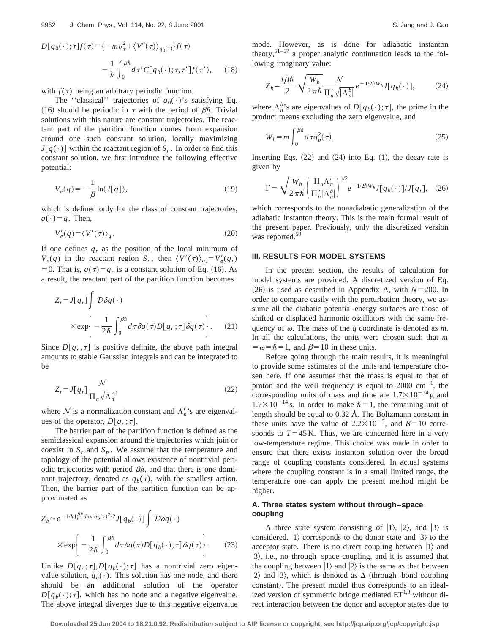$$
D[q_0(\cdot);\tau]f(\tau) \equiv \{-m\partial_{\tau}^2 + \langle V''(\tau)\rangle_{q_0(\cdot)}\}f(\tau)
$$

$$
-\frac{1}{\hbar}\int_0^{\beta\hbar} d\tau' C[q_0(\cdot);\tau,\tau']f(\tau'),\qquad(18)
$$

with  $f(\tau)$  being an arbitrary periodic function.

The "classical" trajectories of  $q_0(\cdot)$ 's satisfying Eq. (16) should be periodic in  $\tau$  with the period of  $\beta\hbar$ . Trivial solutions with this nature are constant trajectories. The reactant part of the partition function comes from expansion around one such constant solution, locally maximizing  $J[q(\cdot)]$  within the reactant region of  $S_r$ . In order to find this constant solution, we first introduce the following effective potential:

$$
V_e(q) = -\frac{1}{\beta} \ln(J[q]),\tag{19}
$$

which is defined only for the class of constant trajectories,  $q(\cdot)=q$ . Then,

$$
V'_e(q) = \langle V'(\tau) \rangle_q. \tag{20}
$$

If one defines  $q_r$  as the position of the local minimum of  $V_e(q)$  in the reactant region  $S_r$ , then  $\langle V'(\tau) \rangle_{q_r} = V'_e(q_r)$ = 0. That is,  $q(\tau) = q_r$  is a constant solution of Eq. (16). As a result, the reactant part of the partition function becomes

$$
Z_r = J[q_r] \int \mathcal{D}\delta q(\cdot)
$$
  
 
$$
\times \exp \left\{ -\frac{1}{2\hbar} \int_0^{\beta\hbar} d\tau \delta q(\tau) D[q_r; \tau] \delta q(\tau) \right\}.
$$
 (21)

Since  $D[q_r, \tau]$  is positive definite, the above path integral amounts to stable Gaussian integrals and can be integrated to be

$$
Z_r = J[q_r] \frac{\mathcal{N}}{\Pi_n \sqrt{\Lambda_n^r}},\tag{22}
$$

where  $N$  is a normalization constant and  $\Lambda_n^r$ 's are eigenvalues of the operator,  $D[q_r; \tau]$ .

The barrier part of the partition function is defined as the semiclassical expansion around the trajectories which join or coexist in  $S_r$  and  $S_p$ . We assume that the temperature and topology of the potential allows existence of nontrivial periodic trajectories with period  $\beta\hbar$ , and that there is one dominant trajectory, denoted as  $q_b(\tau)$ , with the smallest action. Then, the barrier part of the partition function can be approximated as

$$
Z_b \approx e^{-1/\hbar \int_0^{\beta \hbar} d\tau m \dot{q}_b(\tau)^2/2} J[q_b(\cdot)] \int \mathcal{D}\delta q(\cdot)
$$

$$
\times \exp\left\{-\frac{1}{2\hbar} \int_0^{\beta \hbar} d\tau \delta q(\tau) D[q_b(\cdot);\tau] \delta q(\tau)\right\}.
$$
 (23)

Unlike  $D[q_r; \tau], D[q_b(\cdot); \tau]$  has a nontrivial zero eigenvalue solution,  $\dot{q}_b(\cdot)$ . This solution has one node, and there should be an additional solution of the operator  $D[q_b(\cdot);\tau]$ , which has no node and a negative eigenvalue. The above integral diverges due to this negative eigenvalue mode. However, as is done for adiabatic instanton theory,  $51-57$  a proper analytic continuation leads to the following imaginary value:

$$
Z_b = \frac{i\beta\hbar}{2} \sqrt{\frac{W_b}{2\pi\hbar}} \frac{\mathcal{N}}{\prod'_n \sqrt{|\Lambda_n^b|}} e^{-1/2\hbar W_b} J[q_b(\cdot)],\tag{24}
$$

where  $\Lambda_n^{b}$ 's are eigenvalues of  $D[q_b(\cdot);\tau]$ , the prime in the product means excluding the zero eigenvalue, and

$$
W_b = m \int_0^{\beta \hbar} d\tau \dot{q}_b^2(\tau). \tag{25}
$$

Inserting Eqs.  $(22)$  and  $(24)$  into Eq.  $(1)$ , the decay rate is given by

$$
\Gamma = \sqrt{\frac{W_b}{2\pi\hbar}} \left( \frac{\Pi_n \Lambda_n^r}{\Pi_n^{\prime} |\Lambda_n^b|} \right)^{1/2} e^{-1/2\hbar W_b} J[q_b(\cdot)]/J[q_r], \quad (26)
$$

which corresponds to the nonadiabatic generalization of the adiabatic instanton theory. This is the main formal result of the present paper. Previously, only the discretized version was reported.<sup>50</sup>

## **III. RESULTS FOR MODEL SYSTEMS**

In the present section, the results of calculation for model systems are provided. A discretized version of Eq.  $(26)$  is used as described in Appendix A, with  $N=200$ . In order to compare easily with the perturbation theory, we assume all the diabatic potential-energy surfaces are those of shifted or displaced harmonic oscillators with the same frequency of  $\omega$ . The mass of the *q* coordinate is denoted as *m*. In all the calculations, the units were chosen such that *m*  $= \omega = \hbar = 1$ , and  $\beta = 10$  in these units.

Before going through the main results, it is meaningful to provide some estimates of the units and temperature chosen here. If one assumes that the mass is equal to that of proton and the well frequency is equal to  $2000 \text{ cm}^{-1}$ , the corresponding units of mass and time are  $1.7 \times 10^{-24}$  g and  $1.7\times10^{-14}$  s. In order to make  $\hbar=1$ , the remaining unit of length should be equal to 0.32 Å. The Boltzmann constant in these units have the value of  $2.2 \times 10^{-3}$ , and  $\beta=10$  corresponds to  $T=45$  K. Thus, we are concerned here in a very low-temperature regime. This choice was made in order to ensure that there exists instanton solution over the broad range of coupling constants considered. In actual systems where the coupling constant is in a small limited range, the temperature one can apply the present method might be higher.

## **A. Three states system without through–space coupling**

A three state system consisting of  $|1\rangle$ ,  $|2\rangle$ , and  $|3\rangle$  is considered.  $|1\rangle$  corresponds to the donor state and  $|3\rangle$  to the acceptor state. There is no direct coupling between  $|1\rangle$  and  $|3\rangle$ , i.e., no through–space coupling, and it is assumed that the coupling between  $|1\rangle$  and  $|2\rangle$  is the same as that between  $|2\rangle$  and  $|3\rangle$ , which is denoted as  $\Delta$  (through–bond coupling constant). The present model thus corresponds to an idealized version of symmetric bridge mediated  $ET^{1,3}$  without direct interaction between the donor and acceptor states due to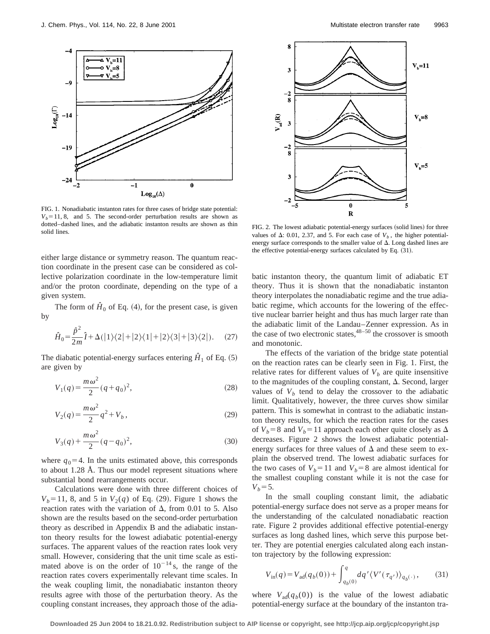

FIG. 1. Nonadiabatic instanton rates for three cases of bridge state potential:  $V_b$ =11, 8, and 5. The second-order perturbation results are shown as dotted–dashed lines, and the adiabatic instanton results are shown as thin solid lines. FIG. 2. The lowest adiabatic potential-energy surfaces (solid lines) for three solid lines.

either large distance or symmetry reason. The quantum reaction coordinate in the present case can be considered as collective polarization coordinate in the low-temperature limit and/or the proton coordinate, depending on the type of a given system.

The form of  $\hat{H}_0$  of Eq. (4), for the present case, is given by

$$
\hat{H}_0 = \frac{\hat{p}^2}{2m}\hat{l} + \Delta(|1\rangle\langle2| + |2\rangle\langle1| + |2\rangle\langle3| + |3\rangle\langle2|). \tag{27}
$$

The diabatic potential-energy surfaces entering  $\hat{H}_1$  of Eq.  $(5)$ are given by

$$
V_1(q) = \frac{m\omega^2}{2}(q+q_0)^2,
$$
\n(28)

$$
V_2(q) = \frac{m\,\omega^2}{2}q^2 + V_b\,,\tag{29}
$$

$$
V_3(q) + \frac{m\omega^2}{2}(q - q_0)^2,
$$
\n(30)

where  $q_0$ =4. In the units estimated above, this corresponds to about 1.28 Å. Thus our model represent situations where substantial bond rearrangements occur.

Calculations were done with three different choices of  $V_b=11$ , 8, and 5 in  $V_2(q)$  of Eq. (29). Figure 1 shows the reaction rates with the variation of  $\Delta$ , from 0.01 to 5. Also shown are the results based on the second-order perturbation theory as described in Appendix B and the adiabatic instanton theory results for the lowest adiabatic potential-energy surfaces. The apparent values of the reaction rates look very small. However, considering that the unit time scale as estimated above is on the order of  $10^{-14}$  s, the range of the reaction rates covers experimentally relevant time scales. In the weak coupling limit, the nonadiabatic instanton theory results agree with those of the perturbation theory. As the coupling constant increases, they approach those of the adia-



values of  $\Delta$ : 0.01, 2.37, and 5. For each case of  $V_b$ , the higher potentialenergy surface corresponds to the smaller value of  $\Delta$ . Long dashed lines are the effective potential-energy surfaces calculated by Eq.  $(31)$ .

batic instanton theory, the quantum limit of adiabatic ET theory. Thus it is shown that the nonadiabatic instanton theory interpolates the nonadiabatic regime and the true adiabatic regime, which accounts for the lowering of the effective nuclear barrier height and thus has much larger rate than the adiabatic limit of the Landau–Zenner expression. As in the case of two electronic states,  $48-50$  the crossover is smooth and monotonic.

The effects of the variation of the bridge state potential on the reaction rates can be clearly seen in Fig. 1. First, the relative rates for different values of  $V_b$  are quite insensitive to the magnitudes of the coupling constant,  $\Delta$ . Second, larger values of  $V_b$  tend to delay the crossover to the adiabatic limit. Qualitatively, however, the three curves show similar pattern. This is somewhat in contrast to the adiabatic instanton theory results, for which the reaction rates for the cases of  $V_b = 8$  and  $V_b = 11$  approach each other quite closely as  $\Delta$ decreases. Figure 2 shows the lowest adiabatic potentialenergy surfaces for three values of  $\Delta$  and these seem to explain the observed trend. The lowest adiabatic surfaces for the two cases of  $V_b=11$  and  $V_b=8$  are almost identical for the smallest coupling constant while it is not the case for  $V_b = 5.$ 

In the small coupling constant limit, the adiabatic potential-energy surface does not serve as a proper means for the understanding of the calculated nonadiabatic reaction rate. Figure 2 provides additional effective potential-energy surfaces as long dashed lines, which serve this purpose better. They are potential energies calculated along each instanton trajectory by the following expression:

$$
V_{\text{in}}(q) = V_{\text{ad}}(q_b(0)) + \int_{q_b(0)}^q dq' \langle V'(\tau_{q'}) \rangle_{q_b(\cdot)},\tag{31}
$$

where  $V_{ad}(q_b(0))$  is the value of the lowest adiabatic potential-energy surface at the boundary of the instanton tra-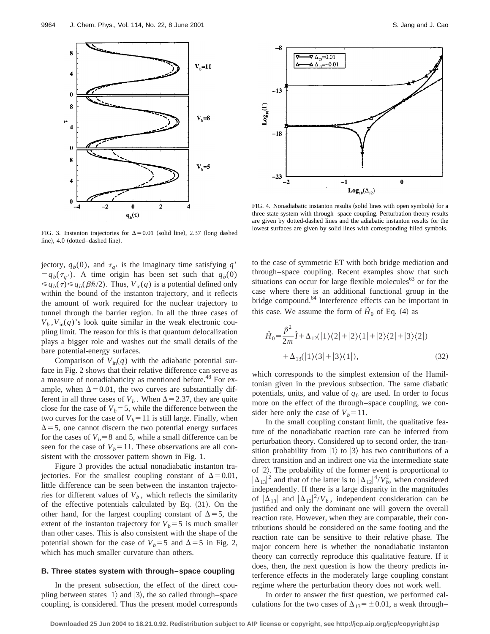



 $\overline{\mathbf{v}}$   $\Delta_{13} = 0.01$ 

 $-8$ 

three state system with through–space coupling. Perturbation theory results are given by dotted-dashed lines and the adiabatic instanton results for the lowest surfaces are given by solid lines with corresponding filled symbols.

FIG. 3. Instanton trajectories for  $\Delta$ =0.01 (solid line), 2.37 (long dashed line), 4.0 (dotted–dashed line)

jectory,  $q_b(0)$ , and  $\tau_{a'}$  is the imaginary time satisfying *q'*  $= q_b(\tau_{q})$ . A time origin has been set such that  $q_b(0)$  $\leq q_b(\tau) \leq q_b(\beta \hbar/2)$ . Thus,  $V_{in}(q)$  is a potential defined only within the bound of the instanton trajectory, and it reflects the amount of work required for the nuclear trajectory to tunnel through the barrier region. In all the three cases of  $V_b$ ,  $V_{in}(q)$ 's look quite similar in the weak electronic coupling limit. The reason for this is that quantum delocalization plays a bigger role and washes out the small details of the bare potential-energy surfaces.

Comparison of  $V_{\text{in}}(q)$  with the adiabatic potential surface in Fig. 2 shows that their relative difference can serve as a measure of nonadiabaticity as mentioned before.<sup>48</sup> For example, when  $\Delta$ =0.01, the two curves are substantially different in all three cases of  $V_b$ . When  $\Delta = 2.37$ , they are quite close for the case of  $V_b$ =5, while the difference between the two curves for the case of  $V_b$ =11 is still large. Finally, when  $\Delta$ =5, one cannot discern the two potential energy surfaces for the cases of  $V_b = 8$  and 5, while a small difference can be seen for the case of  $V_b$ =11. These observations are all consistent with the crossover pattern shown in Fig. 1.

Figure 3 provides the actual nonadiabatic instanton trajectories. For the smallest coupling constant of  $\Delta=0.01$ , little difference can be seen between the instanton trajectories for different values of  $V_b$ , which reflects the similarity of the effective potentials calculated by Eq.  $(31)$ . On the other hand, for the largest coupling constant of  $\Delta = 5$ , the extent of the instanton trajectory for  $V_b = 5$  is much smaller than other cases. This is also consistent with the shape of the potential shown for the case of  $V_b=5$  and  $\Delta=5$  in Fig. 2, which has much smaller curvature than others.

## **B. Three states system with through–space coupling**

In the present subsection, the effect of the direct coupling between states  $|1\rangle$  and  $|3\rangle$ , the so called through–space coupling, is considered. Thus the present model corresponds to the case of symmetric ET with both bridge mediation and through–space coupling. Recent examples show that such situations can occur for large flexible molecules<sup>63</sup> or for the case where there is an additional functional group in the bridge compound.<sup>64</sup> Interference effects can be important in this case. We assume the form of  $\hat{H}_0$  of Eq. (4) as

$$
\hat{H}_0 = \frac{\hat{p}^2}{2m}\hat{I} + \Delta_{12}(|1\rangle\langle2| + |2\rangle\langle1| + |2\rangle\langle2| + |3\rangle\langle2|)
$$

$$
+ \Delta_{13}(|1\rangle\langle3| + |3\rangle\langle1|), \tag{32}
$$

which corresponds to the simplest extension of the Hamiltonian given in the previous subsection. The same diabatic potentials, units, and value of  $q_0$  are used. In order to focus more on the effect of the through–space coupling, we consider here only the case of  $V_b=11$ .

In the small coupling constant limit, the qualitative feature of the nonadiabatic reaction rate can be inferred from perturbation theory. Considered up to second order, the transition probability from  $|1\rangle$  to  $|3\rangle$  has two contributions of a direct transition and an indirect one via the intermediate state of  $|2\rangle$ . The probability of the former event is proportional to  $|\Delta_{13}|^2$  and that of the latter is to  $|\Delta_{12}|^4/V_b^2$ , when considered independently. If there is a large disparity in the magnitudes of  $|\Delta_{13}|$  and  $|\Delta_{12}|^2/V_b$ , independent consideration can be justified and only the dominant one will govern the overall reaction rate. However, when they are comparable, their contributions should be considered on the same footing and the reaction rate can be sensitive to their relative phase. The major concern here is whether the nonadiabatic instanton theory can correctly reproduce this qualitative feature. If it does, then, the next question is how the theory predicts interference effects in the moderately large coupling constant regime where the perturbation theory does not work well.

In order to answer the first question, we performed calculations for the two cases of  $\Delta_{13} = \pm 0.01$ , a weak through–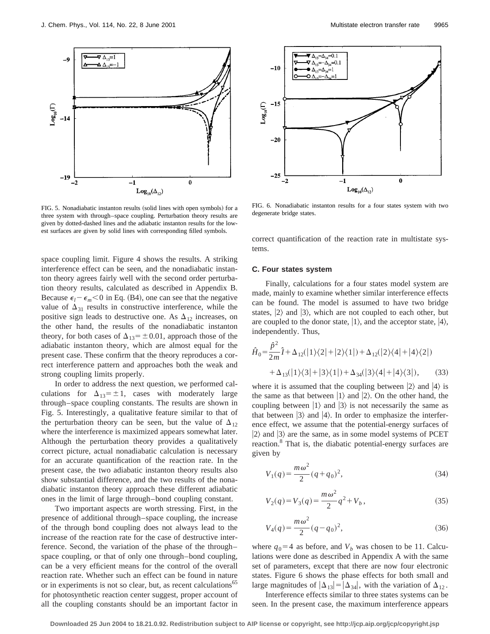

FIG. 5. Nonadiabatic instanton results (solid lines with open symbols) for a three system with through–space coupling. Perturbation theory results are given by dotted-dashed lines and the adiabatic instanton results for the lowest surfaces are given by solid lines with corresponding filled symbols.

space coupling limit. Figure 4 shows the results. A striking interference effect can be seen, and the nonadiabatic instanton theory agrees fairly well with the second order perturbation theory results, calculated as described in Appendix B. Because  $\epsilon_l - \epsilon_m < 0$  in Eq. (B4), one can see that the negative value of  $\Delta_{31}$  results in constructive interference, while the positive sign leads to destructive one. As  $\Delta_{12}$  increases, on the other hand, the results of the nonadiabatic instanton theory, for both cases of  $\Delta_{13} = \pm 0.01$ , approach those of the adiabatic instanton theory, which are almost equal for the present case. These confirm that the theory reproduces a correct interference pattern and approaches both the weak and strong coupling limits properly.

In order to address the next question, we performed calculations for  $\Delta_{13}=\pm 1$ , cases with moderately large through–space coupling constants. The results are shown in Fig. 5. Interestingly, a qualitative feature similar to that of the perturbation theory can be seen, but the value of  $\Delta_{12}$ where the interference is maximized appears somewhat later. Although the perturbation theory provides a qualitatively correct picture, actual nonadiabatic calculation is necessary for an accurate quantification of the reaction rate. In the present case, the two adiabatic instanton theory results also show substantial difference, and the two results of the nonadiabatic instanton theory approach these different adiabatic ones in the limit of large through–bond coupling constant.

Two important aspects are worth stressing. First, in the presence of additional through–space coupling, the increase of the through bond coupling does not always lead to the increase of the reaction rate for the case of destructive interference. Second, the variation of the phase of the through– space coupling, or that of only one through–bond coupling, can be a very efficient means for the control of the overall reaction rate. Whether such an effect can be found in nature or in experiments is not so clear, but, as recent calculations<sup>65</sup> for photosynthetic reaction center suggest, proper account of all the coupling constants should be an important factor in



FIG. 6. Nonadiabatic instanton results for a four states system with two degenerate bridge states.

correct quantification of the reaction rate in multistate systems.

#### **C. Four states system**

Finally, calculations for a four states model system are made, mainly to examine whether similar interference effects can be found. The model is assumed to have two bridge states,  $|2\rangle$  and  $|3\rangle$ , which are not coupled to each other, but are coupled to the donor state,  $|1\rangle$ , and the acceptor state,  $|4\rangle$ , independently. Thus,

$$
\hat{H}_0 = \frac{\hat{p}^2}{2m}\hat{l} + \Delta_{12}(|1\rangle\langle2| + |2\rangle\langle1|) + \Delta_{12}(|2\rangle\langle4| + |4\rangle\langle2|)
$$

$$
+ \Delta_{13}(|1\rangle\langle3| + |3\rangle\langle1|) + \Delta_{34}(|3\rangle\langle4| + |4\rangle\langle3|), \qquad (33)
$$

where it is assumed that the coupling between  $|2\rangle$  and  $|4\rangle$  is the same as that between  $|1\rangle$  and  $|2\rangle$ . On the other hand, the coupling between  $|1\rangle$  and  $|3\rangle$  is not necessarily the same as that between  $|3\rangle$  and  $|4\rangle$ . In order to emphasize the interference effect, we assume that the potential-energy surfaces of  $|2\rangle$  and  $|3\rangle$  are the same, as in some model systems of PCET reaction.<sup>8</sup> That is, the diabatic potential-energy surfaces are given by

$$
V_1(q) = \frac{m\omega^2}{2}(q+q_0)^2,
$$
\n(34)

$$
V_2(q) = V_3(q) = \frac{m\omega^2}{2}q^2 + V_b,
$$
\n(35)

$$
V_4(q) = \frac{m\omega^2}{2}(q - q_0)^2,
$$
\n(36)

where  $q_0 = 4$  as before, and  $V_b$  was chosen to be 11. Calculations were done as described in Appendix A with the same set of parameters, except that there are now four electronic states. Figure 6 shows the phase effects for both small and large magnitudes of  $|\Delta_{13}| = |\Delta_{34}|$ , with the variation of  $\Delta_{12}$ .

Interference effects similar to three states systems can be seen. In the present case, the maximum interference appears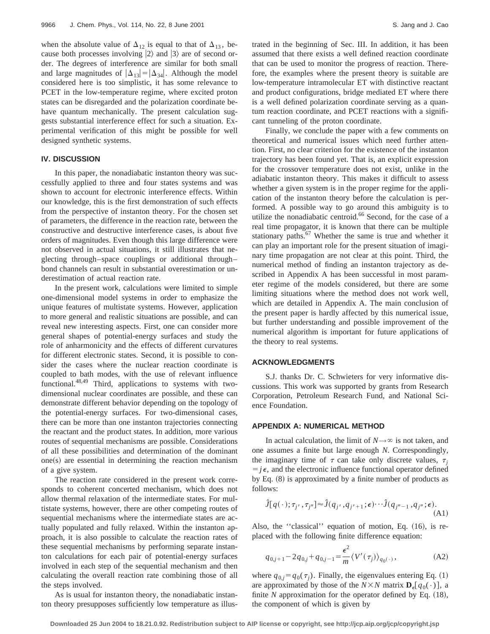when the absolute value of  $\Delta_{12}$  is equal to that of  $\Delta_{13}$ , because both processes involving  $|2\rangle$  and  $|3\rangle$  are of second order. The degrees of interference are similar for both small and large magnitudes of  $|\Delta_{13}| = |\Delta_{34}|$ . Although the model considered here is too simplistic, it has some relevance to PCET in the low-temperature regime, where excited proton states can be disregarded and the polarization coordinate behave quantum mechanically. The present calculation suggests substantial interference effect for such a situation. Experimental verification of this might be possible for well designed synthetic systems.

## **IV. DISCUSSION**

In this paper, the nonadiabatic instanton theory was successfully applied to three and four states systems and was shown to account for electronic interference effects. Within our knowledge, this is the first demonstration of such effects from the perspective of instanton theory. For the chosen set of parameters, the difference in the reaction rate, between the constructive and destructive interference cases, is about five orders of magnitudes. Even though this large difference were not observed in actual situations, it still illustrates that neglecting through–space couplings or additional through– bond channels can result in substantial overestimation or underestimation of actual reaction rate.

In the present work, calculations were limited to simple one-dimensional model systems in order to emphasize the unique features of multistate systems. However, application to more general and realistic situations are possible, and can reveal new interesting aspects. First, one can consider more general shapes of potential-energy surfaces and study the role of anharmonicity and the effects of different curvatures for different electronic states. Second, it is possible to consider the cases where the nuclear reaction coordinate is coupled to bath modes, with the use of relevant influence functional.48,49 Third, applications to systems with twodimensional nuclear coordinates are possible, and these can demonstrate different behavior depending on the topology of the potential-energy surfaces. For two-dimensional cases, there can be more than one instanton trajectories connecting the reactant and the product states. In addition, more various routes of sequential mechanisms are possible. Considerations of all these possibilities and determination of the dominant  $one(s)$  are essential in determining the reaction mechanism of a give system.

The reaction rate considered in the present work corresponds to coherent concerted mechanism, which does not allow thermal relaxation of the intermediate states. For multistate systems, however, there are other competing routes of sequential mechanisms where the intermediate states are actually populated and fully relaxed. Within the instanton approach, it is also possible to calculate the reaction rates of these sequential mechanisms by performing separate instanton calculations for each pair of potential-energy surfaces involved in each step of the sequential mechanism and then calculating the overall reaction rate combining those of all the steps involved.

As is usual for instanton theory, the nonadiabatic instanton theory presupposes sufficiently low temperature as illustrated in the beginning of Sec. III. In addition, it has been assumed that there exists a well defined reaction coordinate that can be used to monitor the progress of reaction. Therefore, the examples where the present theory is suitable are low-temperature intramolecular ET with distinctive reactant and product configurations, bridge mediated ET where there is a well defined polarization coordinate serving as a quantum reaction coordinate, and PCET reactions with a significant tunneling of the proton coordinate.

Finally, we conclude the paper with a few comments on theoretical and numerical issues which need further attention. First, no clear criterion for the existence of the instanton trajectory has been found yet. That is, an explicit expression for the crossover temperature does not exist, unlike in the adiabatic instanton theory. This makes it difficult to assess whether a given system is in the proper regime for the application of the instanton theory before the calculation is performed. A possible way to go around this ambiguity is to utilize the nonadiabatic centroid.<sup>66</sup> Second, for the case of a real time propagator, it is known that there can be multiple stationary paths.<sup>67</sup> Whether the same is true and whether it can play an important role for the present situation of imaginary time propagation are not clear at this point. Third, the numerical method of finding an instanton trajectory as described in Appendix A has been successful in most parameter regime of the models considered, but there are some limiting situations where the method does not work well, which are detailed in Appendix A. The main conclusion of the present paper is hardly affected by this numerical issue, but further understanding and possible improvement of the numerical algorithm is important for future applications of the theory to real systems.

## **ACKNOWLEDGMENTS**

S.J. thanks Dr. C. Schwieters for very informative discussions. This work was supported by grants from Research Corporation, Petroleum Research Fund, and National Science Foundation.

## **APPENDIX A: NUMERICAL METHOD**

In actual calculation, the limit of  $N \rightarrow \infty$  is not taken, and one assumes a finite but large enough *N*. Correspondingly, the imaginary time of  $\tau$  can take only discrete values,  $\tau_i$  $\vec{r}$  *j* $\epsilon$ , and the electronic influence functional operator defined by Eq.  $(8)$  is approximated by a finite number of products as follows:

$$
\hat{J}[q(\cdot);\tau_{j'},\tau_{j''}] \approx \hat{J}(q_{j'},q_{j'+1};\epsilon)\cdots\hat{J}(q_{j''-1},q_{j''};\epsilon).
$$
\n(A1)

Also, the "classical" equation of motion, Eq. (16), is replaced with the following finite difference equation:

$$
q_{0,j+1} - 2q_{0,j} + q_{0,j-1} = \frac{\epsilon^2}{m} \langle V'(\tau_j) \rangle_{q_0(\cdot)},
$$
 (A2)

where  $q_{0,i} = q_0(\tau_i)$ . Finally, the eigenvalues entering Eq. (1) are approximated by those of the *N*×*N* matrix  $\mathbf{D}_{\epsilon}[q_0(\cdot)],$  a finite  $N$  approximation for the operator defined by Eq.  $(18)$ , the component of which is given by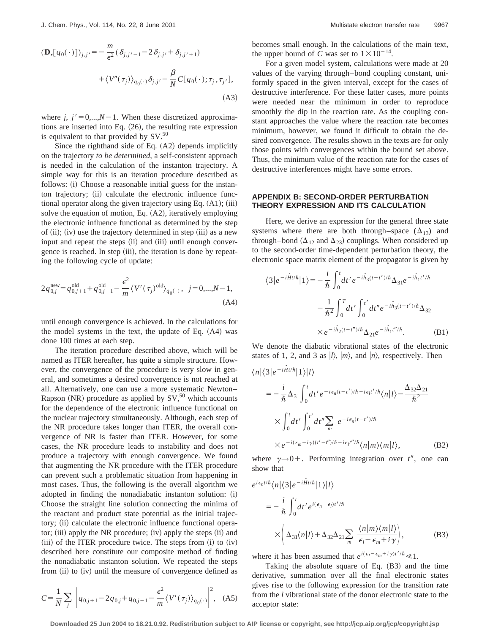$$
\begin{aligned} (\mathbf{D}_{\epsilon}[q_0(\cdot)])_{j,j'} &= -\frac{m}{\epsilon^2} (\delta_{j,j'-1} - 2\,\delta_{j,j'} + \delta_{j,j'+1}) \\ &+ \langle V''(\tau_j) \rangle_{q_0(\cdot)} \delta_{j,j'} - \frac{\beta}{N} C[q_0(\cdot); \tau_j, \tau_{j'}], \end{aligned} \tag{A3}
$$

where *j*,  $j' = 0,...,N-1$ . When these discretized approximations are inserted into Eq.  $(26)$ , the resulting rate expression is equivalent to that provided by  $SV$ .<sup>50</sup>

Since the righthand side of Eq.  $(A2)$  depends implicitly on the trajectory *to be determined*, a self-consistent approach is needed in the calculation of the instanton trajectory. A simple way for this is an iteration procedure described as follows: (i) Choose a reasonable initial guess for the instanton trajectory; (ii) calculate the electronic influence functional operator along the given trajectory using Eq.  $(A1)$ ;  $(iii)$ solve the equation of motion, Eq.  $(A2)$ , iteratively employing the electronic influence functional as determined by the step of  $(ii)$ ;  $(iv)$  use the trajectory determined in step  $(iii)$  as a new input and repeat the steps (ii) and (iii) until enough convergence is reached. In step (iii), the iteration is done by repeating the following cycle of update:

$$
2q_{0,j}^{\text{new}} = q_{0,j+1}^{\text{old}} + q_{0,j-1}^{\text{old}} - \frac{\epsilon^2}{m} \langle V'(\tau_j)^{\text{old}} \rangle_{q_0(\cdot)}, \ \ j = 0, \dots, N-1,
$$
\n(A4)

until enough convergence is achieved. In the calculations for the model systems in the text, the update of Eq.  $(A4)$  was done 100 times at each step.

The iteration procedure described above, which will be named as ITER hereafter, has quite a simple structure. However, the convergence of the procedure is very slow in general, and sometimes a desired convergence is not reached at all. Alternatively, one can use a more systematic Newton– Rapson (NR) procedure as applied by  $SV$ ,<sup>50</sup> which accounts for the dependence of the electronic influence functional on the nuclear trajectory simultaneously. Although, each step of the NR procedure takes longer than ITER, the overall convergence of NR is faster than ITER. However, for some cases, the NR procedure leads to instability and does not produce a trajectory with enough convergence. We found that augmenting the NR procedure with the ITER procedure can prevent such a problematic situation from happening in most cases. Thus, the following is the overall algorithm we adopted in finding the nonadiabatic instanton solution:  $(i)$ Choose the straight line solution connecting the minima of the reactant and product state potential as the initial trajectory; (ii) calculate the electronic influence functional operator; (iii) apply the NR procedure; (iv) apply the steps (ii) and  $(iii)$  of the ITER procedure twice. The steps from  $(i)$  to  $(iv)$ described here constitute our composite method of finding the nonadiabatic instanton solution. We repeated the steps from (ii) to (iv) until the measure of convergence defined as becomes small enough. In the calculations of the main text, the upper bound of *C* was set to  $1 \times 10^{-14}$ .

For a given model system, calculations were made at 20 values of the varying through–bond coupling constant, uniformly spaced in the given interval, except for the cases of destructive interference. For these latter cases, more points were needed near the minimum in order to reproduce smoothly the dip in the reaction rate. As the coupling constant approaches the value where the reaction rate becomes minimum, however, we found it difficult to obtain the desired convergence. The results shown in the texts are for only those points with convergences within the bound set above. Thus, the minimum value of the reaction rate for the cases of destructive interferences might have some errors.

## **APPENDIX B: SECOND-ORDER PERTURBATION THEORY EXPRESSION AND ITS CALCULATION**

Here, we derive an expression for the general three state systems where there are both through–space  $(\Delta_{13})$  and through–bond ( $\Delta_{12}$  and  $\Delta_{23}$ ) couplings. When considered up to the second-order time-dependent perturbation theory, the electronic space matrix element of the propagator is given by

$$
\langle 3|e^{-i\hat{H}t/\hbar}|1\rangle = -\frac{i}{\hbar} \int_0^t dt' e^{-i\hat{h}_3(t-t')/\hbar} \Delta_{31} e^{-i\hat{h}_1 t'/\hbar} -\frac{1}{\hbar^2} \int_0^T dt' \int_0^{t'} dt'' e^{-i\hat{h}_3(t-t')/\hbar} \Delta_{32} \times e^{-i\hat{h}_2(t-t'')/\hbar} \Delta_{21} e^{-i\hat{h}_1 t''/\hbar}.
$$
 (B1)

We denote the diabatic vibrational states of the electronic states of 1, 2, and 3 as  $|l\rangle$ ,  $|m\rangle$ , and  $|n\rangle$ , respectively. Then

$$
\langle n|\langle 3|e^{-i\hat{H}t/\hbar}|1\rangle|l\rangle
$$
  
=  $-\frac{i}{\hbar}\Delta_{31}\int_{0}^{t}dt' e^{-i\epsilon_{n}(t-t')/\hbar - i\epsilon_{l}t'/\hbar} \langle n|l\rangle - \frac{\Delta_{32}\Delta_{21}}{\hbar^{2}}$   
 $\times \int_{0}^{t}dt'\int_{0}^{t'}dt'' \sum_{m} e^{-i\epsilon_{n}(t-t')/\hbar}$   
 $\times e^{-i(\epsilon_{m}-i\gamma)(t'-t'')/\hbar - i\epsilon_{l}t''/\hbar} \langle n|m\rangle \langle m|l\rangle, \qquad (B2)$ 

where  $\gamma \rightarrow 0^+$ . Performing integration over *t*<sup>*n*</sup>, one can show that

$$
e^{i\epsilon_n t/\hbar} \langle n | \langle 3 | e^{-i\hat{H}t/\hbar} | 1 \rangle | l \rangle
$$
  
=  $-\frac{i}{\hbar} \int_0^t dt' e^{i(\epsilon_n - \epsilon_l)t'/\hbar}$   
 $\times \left( \Delta_{31} \langle n | l \rangle + \Delta_{32} \Delta_{21} \sum_m \frac{\langle n | m \rangle \langle m | l \rangle}{\epsilon_l - \epsilon_m + i\gamma} \right),$  (B3)

where it has been assumed that  $e^{i(\epsilon_l - \epsilon_m + i\gamma)t'/\hbar} \ll 1$ .

Taking the absolute square of Eq.  $(B3)$  and the time derivative, summation over all the final electronic states gives rise to the following expression for the transition rate from the *l* vibrational state of the donor electronic state to the acceptor state: